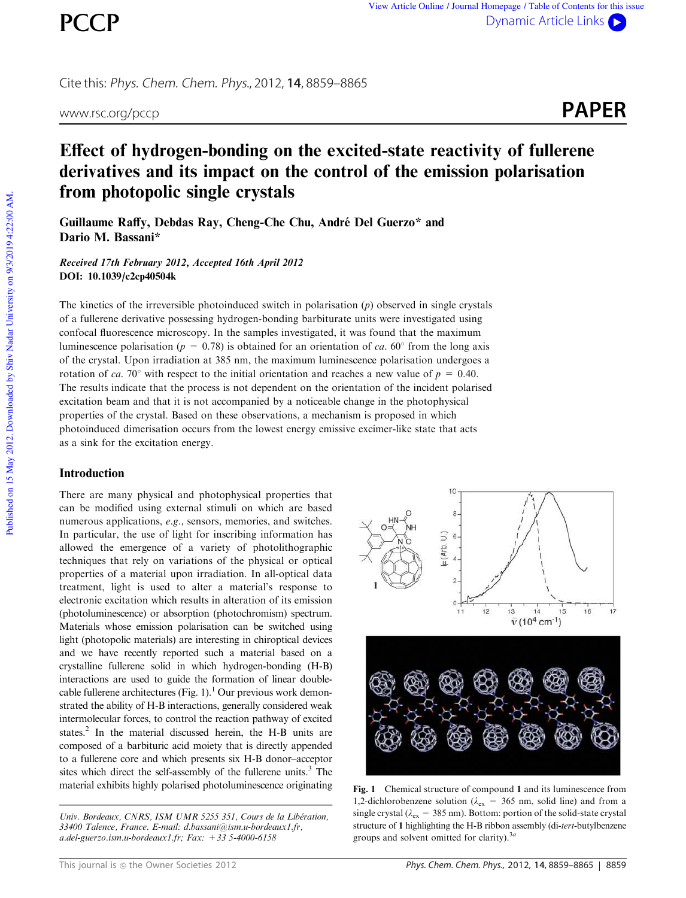Cite this: Phys. Chem. Chem. Phys., 2012, **14**, 8859–8865



# Effect of hydrogen-bonding on the excited-state reactivity of fullerene derivatives and its impact on the control of the emission polarisation from photopolic single crystals

Guillaume Raffy, Debdas Ray, Cheng-Che Chu, André Del Guerzo\* and Dario M. Bassani\*

Received 17th February 2012, Accepted 16th April 2012 DOI: 10.1039/c2cp40504k

The kinetics of the irreversible photoinduced switch in polarisation (*p*) observed in single crystals of a fullerene derivative possessing hydrogen-bonding barbiturate units were investigated using confocal fluorescence microscopy. In the samples investigated, it was found that the maximum luminescence polarisation ( $p = 0.78$ ) is obtained for an orientation of *ca*. 60° from the long axis of the crystal. Upon irradiation at 385 nm, the maximum luminescence polarisation undergoes a rotation of *ca.* 70° with respect to the initial orientation and reaches a new value of  $p = 0.40$ . The results indicate that the process is not dependent on the orientation of the incident polarised excitation beam and that it is not accompanied by a noticeable change in the photophysical properties of the crystal. Based on these observations, a mechanism is proposed in which photoinduced dimerisation occurs from the lowest energy emissive excimer-like state that acts as a sink for the excitation energy.

## **Introduction**

There are many physical and photophysical properties that can be modified using external stimuli on which are based numerous applications, *e.g.*, sensors, memories, and switches. In particular, the use of light for inscribing information has allowed the emergence of a variety of photolithographic techniques that rely on variations of the physical or optical properties of a material upon irradiation. In all-optical data treatment, light is used to alter a material's response to electronic excitation which results in alteration of its emission (photoluminescence) or absorption (photochromism) spectrum. Materials whose emission polarisation can be switched using light (photopolic materials) are interesting in chiroptical devices and we have recently reported such a material based on a crystalline fullerene solid in which hydrogen-bonding (H-B) interactions are used to guide the formation of linear doublecable fullerene architectures (Fig. 1).<sup>1</sup> Our previous work demonstrated the ability of H-B interactions, generally considered weak intermolecular forces, to control the reaction pathway of excited states.<sup>2</sup> In the material discussed herein, the H-B units are composed of a barbituric acid moiety that is directly appended to a fullerene core and which presents six H-B donor–acceptor sites which direct the self-assembly of the fullerene units.<sup>3</sup> The material exhibits highly polarised photoluminescence originating Fig. 1 Chemical structure of compound 1 and its luminescence from

*Univ. Bordeaux, CNRS, ISM UMR 5255 351, Cours de la Libe´ration, 33400 Talence, France. E-mail: d.bassani@ism.u-bordeaux1.fr, a.del-guerzo.ism.u-bordeaux1.fr; Fax: +33 5-4000-6158*



1,2-dichlorobenzene solution ( $\lambda_{\text{ex}}$  = 365 nm, solid line) and from a single crystal ( $\lambda_{\rm ex}$  = 385 nm). Bottom: portion of the solid-state crystal structure of 1 highlighting the H-B ribbon assembly (di-*tert*-butylbenzene groups and solvent omitted for clarity).3*<sup>a</sup>*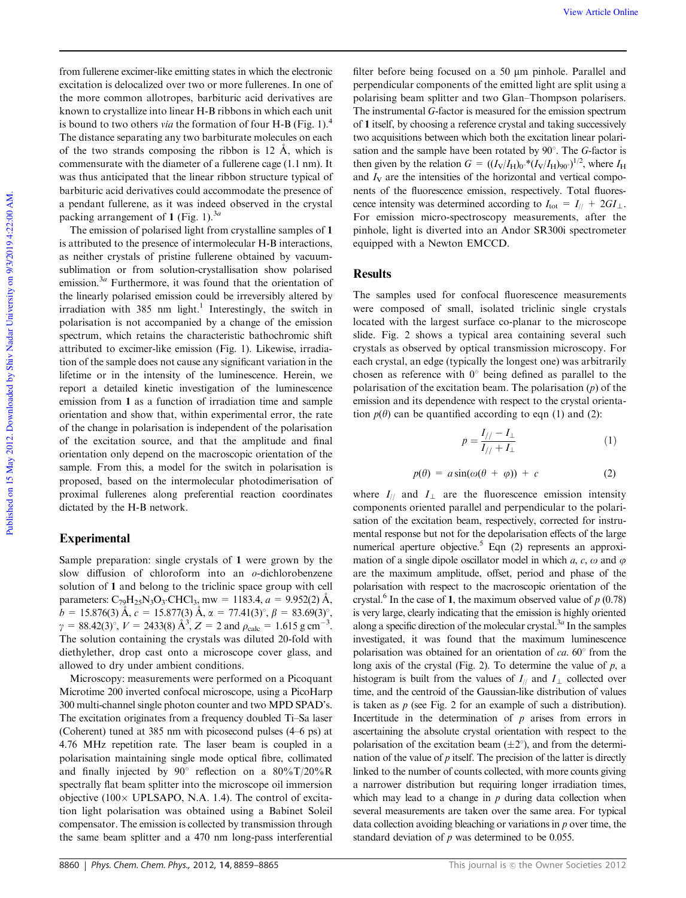View Article Online

from fullerene excimer-like emitting states in which the electronic excitation is delocalized over two or more fullerenes. In one of the more common allotropes, barbituric acid derivatives are known to crystallize into linear H-B ribbons in which each unit is bound to two others *via* the formation of four H-B (Fig. 1).<sup>4</sup> The distance separating any two barbiturate molecules on each of the two strands composing the ribbon is 12  $\AA$ , which is commensurate with the diameter of a fullerene cage (1.1 nm). It was thus anticipated that the linear ribbon structure typical of barbituric acid derivatives could accommodate the presence of a pendant fullerene, as it was indeed observed in the crystal packing arrangement of 1 (Fig. 1).<sup>3a</sup>

The emission of polarised light from crystalline samples of 1 is attributed to the presence of intermolecular H-B interactions, as neither crystals of pristine fullerene obtained by vacuumsublimation or from solution-crystallisation show polarised emission.<sup>3*a*</sup> Furthermore, it was found that the orientation of the linearly polarised emission could be irreversibly altered by irradiation with 385 nm light.<sup>1</sup> Interestingly, the switch in polarisation is not accompanied by a change of the emission spectrum, which retains the characteristic bathochromic shift attributed to excimer-like emission (Fig. 1). Likewise, irradiation of the sample does not cause any significant variation in the lifetime or in the intensity of the luminescence. Herein, we report a detailed kinetic investigation of the luminescence emission from 1 as a function of irradiation time and sample orientation and show that, within experimental error, the rate of the change in polarisation is independent of the polarisation of the excitation source, and that the amplitude and final orientation only depend on the macroscopic orientation of the sample. From this, a model for the switch in polarisation is proposed, based on the intermolecular photodimerisation of proximal fullerenes along preferential reaction coordinates dictated by the H-B network.

# Experimental

Sample preparation: single crystals of 1 were grown by the slow diffusion of chloroform into an *o*-dichlorobenzene solution of 1 and belong to the triclinic space group with cell parameters:  $C_{79}H_{25}N_3O_3$ ·CHCl<sub>3</sub>, mw = 1183.4, *a* = 9.952(2) Å,  $b = 15.876(3)$   $\AA$ ,  $c = 15.877(3)$   $\AA$ ,  $\alpha = 77.41(3)^\circ$ ,  $\beta = 83.69(3)^\circ$ ,  $\gamma = 88.42(3)^\circ, V = 2433(8) \text{ Å}^3, Z = 2 \text{ and } \rho_{\text{calc}} = 1.615 \text{ g cm}^{-3}.$ The solution containing the crystals was diluted 20-fold with diethylether, drop cast onto a microscope cover glass, and allowed to dry under ambient conditions.

Microscopy: measurements were performed on a Picoquant Microtime 200 inverted confocal microscope, using a PicoHarp 300 multi-channel single photon counter and two MPD SPAD's. The excitation originates from a frequency doubled Ti–Sa laser (Coherent) tuned at 385 nm with picosecond pulses (4–6 ps) at 4.76 MHz repetition rate. The laser beam is coupled in a polarisation maintaining single mode optical fibre, collimated and finally injected by 90 $^{\circ}$  reflection on a 80%T/20%R spectrally flat beam splitter into the microscope oil immersion objective  $(100 \times \text{UPLSAPO}, \text{N.A. } 1.4)$ . The control of excitation light polarisation was obtained using a Babinet Soleil compensator. The emission is collected by transmission through the same beam splitter and a 470 nm long-pass interferential

filter before being focused on a 50  $\mu$ m pinhole. Parallel and perpendicular components of the emitted light are split using a polarising beam splitter and two Glan–Thompson polarisers. The instrumental *G*-factor is measured for the emission spectrum of 1 itself, by choosing a reference crystal and taking successively two acquisitions between which both the excitation linear polarisation and the sample have been rotated by 90°. The *G*-factor is then given by the relation  $G = ((I_V/I_H)_{0.00} * (I_V/I_H)_{90.00})^{1/2}$ , where  $I_H$ and  $I_V$  are the intensities of the horizontal and vertical components of the fluorescence emission, respectively. Total fluorescence intensity was determined according to  $I_{\text{tot}} = I_{//} + 2GI_{\perp}$ . For emission micro-spectroscopy measurements, after the pinhole, light is diverted into an Andor SR300i spectrometer equipped with a Newton EMCCD.

## Results

The samples used for confocal fluorescence measurements were composed of small, isolated triclinic single crystals located with the largest surface co-planar to the microscope slide. Fig. 2 shows a typical area containing several such crystals as observed by optical transmission microscopy. For each crystal, an edge (typically the longest one) was arbitrarily chosen as reference with  $0^{\circ}$  being defined as parallel to the polarisation of the excitation beam. The polarisation (*p*) of the emission and its dependence with respect to the crystal orientation  $p(\theta)$  can be quantified according to eqn (1) and (2):

$$
p = \frac{I_{//} - I_{\perp}}{I_{//} + I_{\perp}}
$$
 (1)

$$
p(\theta) = a \sin(\omega(\theta + \varphi)) + c \tag{2}
$$

where  $I_{//}$  and  $I_{\perp}$  are the fluorescence emission intensity components oriented parallel and perpendicular to the polarisation of the excitation beam, respectively, corrected for instrumental response but not for the depolarisation effects of the large numerical aperture objective.<sup>5</sup> Eqn  $(2)$  represents an approximation of a single dipole oscillator model in which  $a$ ,  $c$ ,  $\omega$  and  $\varphi$ are the maximum amplitude, offset, period and phase of the polarisation with respect to the macroscopic orientation of the crystal.<sup>6</sup> In the case of 1, the maximum observed value of  $p(0.78)$ is very large, clearly indicating that the emission is highly oriented along a specific direction of the molecular crystal.3*<sup>a</sup>* In the samples investigated, it was found that the maximum luminescence polarisation was obtained for an orientation of  $ca. 60^\circ$  from the long axis of the crystal (Fig. 2). To determine the value of *p*, a histogram is built from the values of  $I_{//}$  and  $I_{//}$  collected over time, and the centroid of the Gaussian-like distribution of values is taken as *p* (see Fig. 2 for an example of such a distribution). Incertitude in the determination of  $p$  arises from errors in ascertaining the absolute crystal orientation with respect to the polarisation of the excitation beam  $(\pm 2^{\circ})$ , and from the determination of the value of *p* itself. The precision of the latter is directly linked to the number of counts collected, with more counts giving a narrower distribution but requiring longer irradiation times, which may lead to a change in *p* during data collection when several measurements are taken over the same area. For typical data collection avoiding bleaching or variations in *p* over time, the standard deviation of *p* was determined to be 0.055.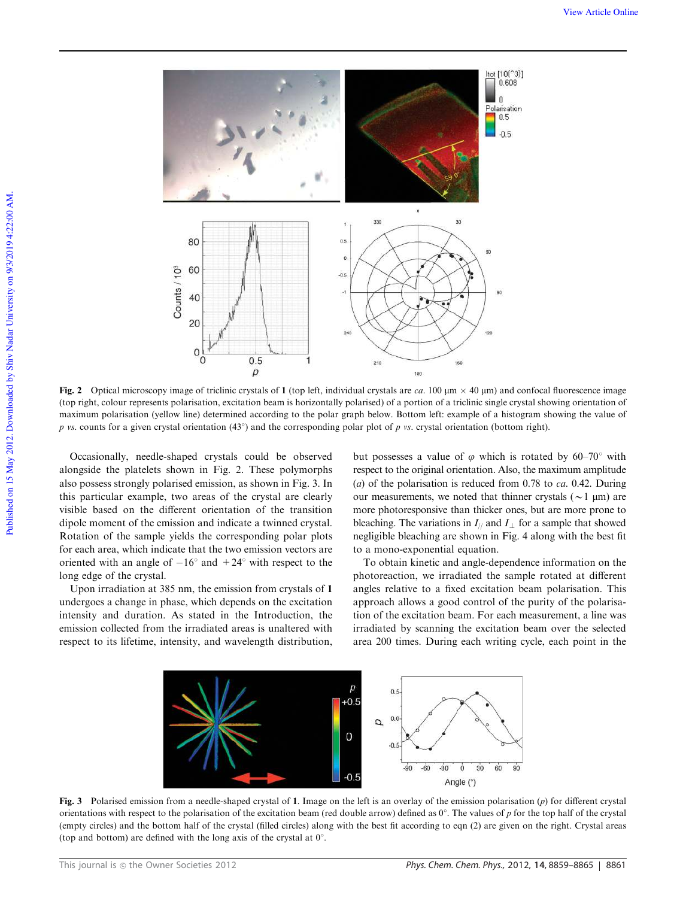

Fig. 2 Optical microscopy image of triclinic crystals of 1 (top left, individual crystals are *ca.* 100  $\mu$ m  $\times$  40  $\mu$ m) and confocal fluorescence image (top right, colour represents polarisation, excitation beam is horizontally polarised) of a portion of a triclinic single crystal showing orientation of maximum polarisation (yellow line) determined according to the polar graph below. Bottom left: example of a histogram showing the value of *p* vs. counts for a given crystal orientation (43°) and the corresponding polar plot of *p* vs. crystal orientation (bottom right).

Occasionally, needle-shaped crystals could be observed alongside the platelets shown in Fig. 2. These polymorphs also possess strongly polarised emission, as shown in Fig. 3. In this particular example, two areas of the crystal are clearly visible based on the different orientation of the transition dipole moment of the emission and indicate a twinned crystal. Rotation of the sample yields the corresponding polar plots for each area, which indicate that the two emission vectors are oriented with an angle of  $-16^{\circ}$  and  $+24^{\circ}$  with respect to the long edge of the crystal.

Upon irradiation at 385 nm, the emission from crystals of 1 undergoes a change in phase, which depends on the excitation intensity and duration. As stated in the Introduction, the emission collected from the irradiated areas is unaltered with respect to its lifetime, intensity, and wavelength distribution,

but possesses a value of  $\varphi$  which is rotated by 60–70° with respect to the original orientation. Also, the maximum amplitude (*a*) of the polarisation is reduced from 0.78 to *ca.* 0.42. During our measurements, we noted that thinner crystals ( $\sim$ 1 µm) are more photoresponsive than thicker ones, but are more prone to bleaching. The variations in  $I_{\parallel}$  and  $I_{\perp}$  for a sample that showed negligible bleaching are shown in Fig. 4 along with the best fit to a mono-exponential equation.

To obtain kinetic and angle-dependence information on the photoreaction, we irradiated the sample rotated at different angles relative to a fixed excitation beam polarisation. This approach allows a good control of the purity of the polarisation of the excitation beam. For each measurement, a line was irradiated by scanning the excitation beam over the selected area 200 times. During each writing cycle, each point in the



Fig. 3 Polarised emission from a needle-shaped crystal of 1. Image on the left is an overlay of the emission polarisation (*p*) for different crystal orientations with respect to the polarisation of the excitation beam (red double arrow) defined as  $0^\circ$ . The values of *p* for the top half of the crystal (empty circles) and the bottom half of the crystal (filled circles) along with the best fit according to eqn (2) are given on the right. Crystal areas (top and bottom) are defined with the long axis of the crystal at  $0^\circ$ .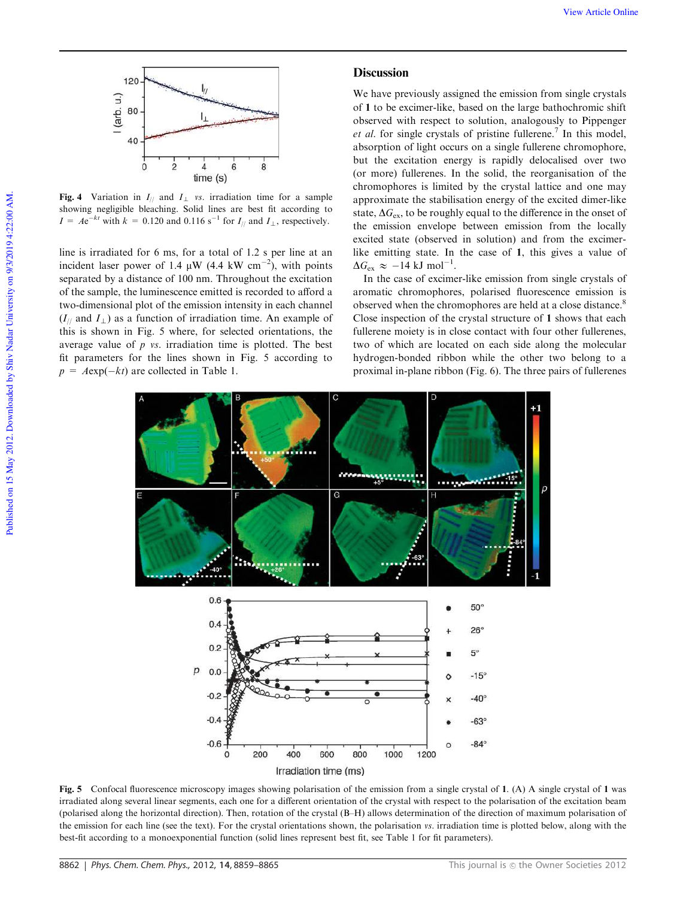

Fig. 4 Variation in  $I_{//}$  and  $I_{\perp}$  *vs.* irradiation time for a sample showing negligible bleaching. Solid lines are best fit according to  $I = Ae^{-kt}$  with  $k = 0.120$  and  $0.116$  s<sup>-1</sup> for  $I_{//}$  and  $I_{\perp}$ , respectively.

line is irradiated for 6 ms, for a total of 1.2 s per line at an incident laser power of 1.4  $\mu$ W (4.4 kW cm<sup>-2</sup>), with points separated by a distance of 100 nm. Throughout the excitation of the sample, the luminescence emitted is recorded to afford a two-dimensional plot of the emission intensity in each channel  $(I_{//}$  and  $I_{\perp}$ ) as a function of irradiation time. An example of this is shown in Fig. 5 where, for selected orientations, the average value of *p vs.* irradiation time is plotted. The best fit parameters for the lines shown in Fig. 5 according to  $p = A \exp(-kt)$  are collected in Table 1.

# **Discussion**

We have previously assigned the emission from single crystals of 1 to be excimer-like, based on the large bathochromic shift observed with respect to solution, analogously to Pippenger et al. for single crystals of pristine fullerene.<sup>7</sup> In this model, absorption of light occurs on a single fullerene chromophore, but the excitation energy is rapidly delocalised over two (or more) fullerenes. In the solid, the reorganisation of the chromophores is limited by the crystal lattice and one may approximate the stabilisation energy of the excited dimer-like state,  $\Delta G_{\text{ex}}$ , to be roughly equal to the difference in the onset of the emission envelope between emission from the locally excited state (observed in solution) and from the excimerlike emitting state. In the case of 1, this gives a value of  $\Delta G_{\text{ex}} \approx -14 \text{ kJ mol}^{-1}$ .

In the case of excimer-like emission from single crystals of aromatic chromophores, polarised fluorescence emission is observed when the chromophores are held at a close distance.<sup>8</sup> Close inspection of the crystal structure of 1 shows that each fullerene moiety is in close contact with four other fullerenes, two of which are located on each side along the molecular hydrogen-bonded ribbon while the other two belong to a proximal in-plane ribbon (Fig. 6). The three pairs of fullerenes



Fig. 5 Confocal fluorescence microscopy images showing polarisation of the emission from a single crystal of 1. (A) A single crystal of 1 was irradiated along several linear segments, each one for a different orientation of the crystal with respect to the polarisation of the excitation beam (polarised along the horizontal direction). Then, rotation of the crystal (B–H) allows determination of the direction of maximum polarisation of the emission for each line (see the text). For the crystal orientations shown, the polarisation *vs.* irradiation time is plotted below, along with the best-fit according to a monoexponential function (solid lines represent best fit, see Table 1 for fit parameters).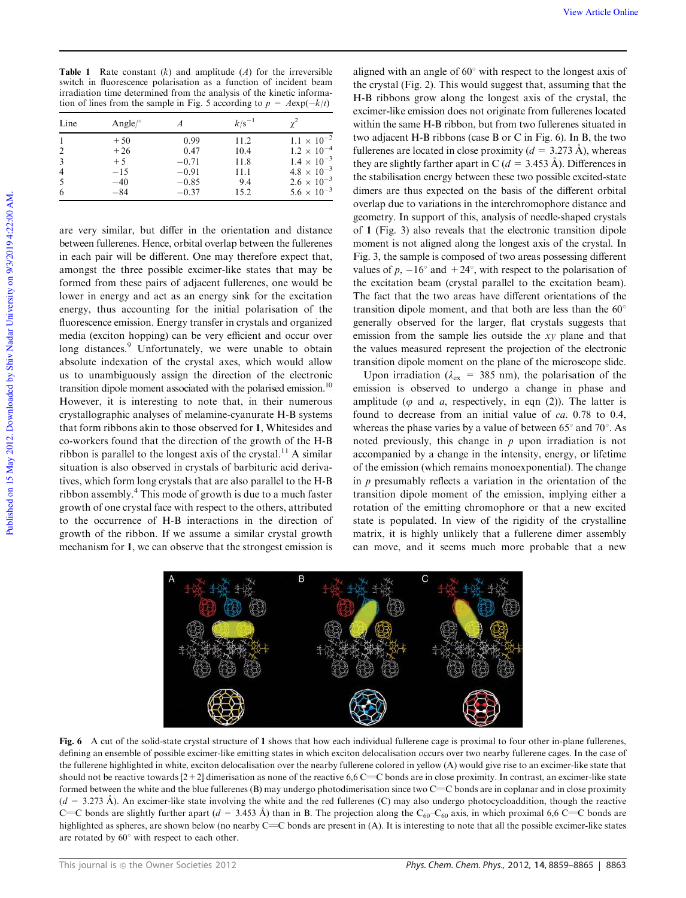| <b>Table 1</b> Rate constant $(k)$ and amplitude $(A)$ for the irreversible |
|-----------------------------------------------------------------------------|
| switch in fluorescence polarisation as a function of incident beam          |
| irradiation time determined from the analysis of the kinetic informa-       |
| tion of lines from the sample in Fig. 5 according to $p = A \exp(-k/t)$     |

| Line           | Angle/ $\degree$ |         | $k/s^{-1}$ |                      |
|----------------|------------------|---------|------------|----------------------|
|                | $+50$            | 0.99    | 11.2       | $1.1 \times 10^{-2}$ |
| 2              | $+26$            | 0.47    | 10.4       | $1.2 \times 10^{-4}$ |
| 3              | $+5$             | $-0.71$ | 11.8       | $1.4 \times 10^{-3}$ |
| $\overline{4}$ | $-15$            | $-0.91$ | 11.1       | $4.8 \times 10^{-3}$ |
| 5              | $-40$            | $-0.85$ | 9.4        | $2.6 \times 10^{-3}$ |
| 6              | $-84$            | $-0.37$ | 15.2       | $5.6 \times 10^{-3}$ |

are very similar, but differ in the orientation and distance between fullerenes. Hence, orbital overlap between the fullerenes in each pair will be different. One may therefore expect that, amongst the three possible excimer-like states that may be formed from these pairs of adjacent fullerenes, one would be lower in energy and act as an energy sink for the excitation energy, thus accounting for the initial polarisation of the fluorescence emission. Energy transfer in crystals and organized media (exciton hopping) can be very efficient and occur over long distances.<sup>9</sup> Unfortunately, we were unable to obtain absolute indexation of the crystal axes, which would allow us to unambiguously assign the direction of the electronic transition dipole moment associated with the polarised emission.<sup>10</sup> However, it is interesting to note that, in their numerous crystallographic analyses of melamine-cyanurate H-B systems that form ribbons akin to those observed for 1, Whitesides and co-workers found that the direction of the growth of the H-B ribbon is parallel to the longest axis of the crystal.<sup>11</sup> A similar situation is also observed in crystals of barbituric acid derivatives, which form long crystals that are also parallel to the H-B ribbon assembly.<sup>4</sup> This mode of growth is due to a much faster growth of one crystal face with respect to the others, attributed to the occurrence of H-B interactions in the direction of growth of the ribbon. If we assume a similar crystal growth mechanism for 1, we can observe that the strongest emission is

aligned with an angle of  $60^{\circ}$  with respect to the longest axis of the crystal (Fig. 2). This would suggest that, assuming that the H-B ribbons grow along the longest axis of the crystal, the excimer-like emission does not originate from fullerenes located within the same H-B ribbon, but from two fullerenes situated in two adjacent H-B ribbons (case B or C in Fig. 6). In B, the two fullerenes are located in close proximity  $(d = 3.273 \text{ Å})$ , whereas they are slightly farther apart in C ( $d = 3.453 \text{ Å}$ ). Differences in the stabilisation energy between these two possible excited-state dimers are thus expected on the basis of the different orbital overlap due to variations in the interchromophore distance and geometry. In support of this, analysis of needle-shaped crystals of 1 (Fig. 3) also reveals that the electronic transition dipole moment is not aligned along the longest axis of the crystal. In Fig. 3, the sample is composed of two areas possessing different values of  $p$ ,  $-16^{\circ}$  and  $+24^{\circ}$ , with respect to the polarisation of the excitation beam (crystal parallel to the excitation beam). The fact that the two areas have different orientations of the transition dipole moment, and that both are less than the  $60^\circ$ generally observed for the larger, flat crystals suggests that emission from the sample lies outside the *xy* plane and that the values measured represent the projection of the electronic transition dipole moment on the plane of the microscope slide.

Upon irradiation ( $\lambda_{\text{ex}}$  = 385 nm), the polarisation of the emission is observed to undergo a change in phase and amplitude ( $\varphi$  and  $\varphi$ , respectively, in eqn (2)). The latter is found to decrease from an initial value of *ca.* 0.78 to 0.4, whereas the phase varies by a value of between  $65^{\circ}$  and  $70^{\circ}$ . As noted previously, this change in *p* upon irradiation is not accompanied by a change in the intensity, energy, or lifetime of the emission (which remains monoexponential). The change in *p* presumably reflects a variation in the orientation of the transition dipole moment of the emission, implying either a rotation of the emitting chromophore or that a new excited state is populated. In view of the rigidity of the crystalline matrix, it is highly unlikely that a fullerene dimer assembly can move, and it seems much more probable that a new



Fig. 6 A cut of the solid-state crystal structure of 1 shows that how each individual fullerene cage is proximal to four other in-plane fullerenes, defining an ensemble of possible excimer-like emitting states in which exciton delocalisation occurs over two nearby fullerene cages. In the case of the fullerene highlighted in white, exciton delocalisation over the nearby fullerene colored in yellow (A) would give rise to an excimer-like state that should not be reactive towards  $[2+2]$  dimerisation as none of the reactive 6,6 C=C bonds are in close proximity. In contrast, an excimer-like state formed between the white and the blue fullerenes  $(B)$  may undergo photodimerisation since two  $C=C$  bonds are in coplanar and in close proximity  $(d = 3.273 \text{ Å})$ . An excimer-like state involving the white and the red fullerenes (C) may also undergo photocycloaddition, though the reactive C=C bonds are slightly further apart ( $d = 3.453$  Å) than in B. The projection along the C<sub>60</sub>–C<sub>60</sub> axis, in which proximal 6,6 C=C bonds are highlighted as spheres, are shown below (no nearby  $C=C$  bonds are present in (A). It is interesting to note that all the possible excimer-like states are rotated by  $60^{\circ}$  with respect to each other.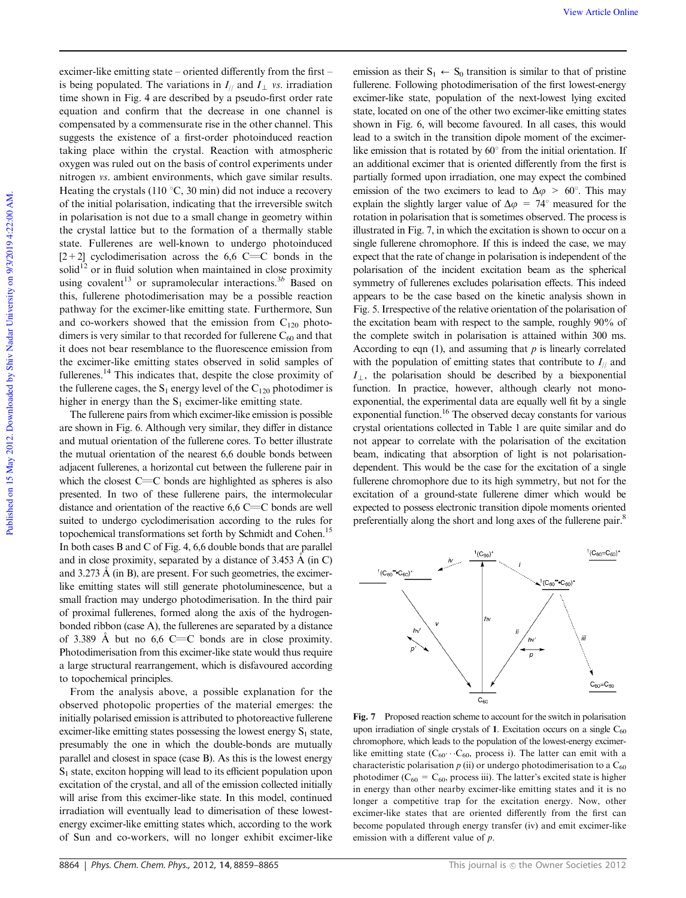excimer-like emitting state – oriented differently from the first – is being populated. The variations in  $I_{\text{II}}$  and  $I_{\text{II}}$  *vs.* irradiation time shown in Fig. 4 are described by a pseudo-first order rate equation and confirm that the decrease in one channel is compensated by a commensurate rise in the other channel. This suggests the existence of a first-order photoinduced reaction taking place within the crystal. Reaction with atmospheric oxygen was ruled out on the basis of control experiments under nitrogen *vs.* ambient environments, which gave similar results. Heating the crystals (110  $\degree$ C, 30 min) did not induce a recovery of the initial polarisation, indicating that the irreversible switch in polarisation is not due to a small change in geometry within the crystal lattice but to the formation of a thermally stable state. Fullerenes are well-known to undergo photoinduced  $[2+2]$  cyclodimerisation across the 6,6 C=C bonds in the  $solid<sup>12</sup>$  or in fluid solution when maintained in close proximity using covalent<sup>13</sup> or supramolecular interactions.<sup>3*b*</sup> Based on this, fullerene photodimerisation may be a possible reaction pathway for the excimer-like emitting state. Furthermore, Sun and co-workers showed that the emission from  $C_{120}$  photodimers is very similar to that recorded for fullerene  $C_{60}$  and that it does not bear resemblance to the fluorescence emission from the excimer-like emitting states observed in solid samples of fullerenes.<sup>14</sup> This indicates that, despite the close proximity of the fullerene cages, the  $S_1$  energy level of the  $C_{120}$  photodimer is higher in energy than the  $S_1$  excimer-like emitting state.

The fullerene pairs from which excimer-like emission is possible are shown in Fig. 6. Although very similar, they differ in distance and mutual orientation of the fullerene cores. To better illustrate the mutual orientation of the nearest 6,6 double bonds between adjacent fullerenes, a horizontal cut between the fullerene pair in which the closest  $C=C$  bonds are highlighted as spheres is also presented. In two of these fullerene pairs, the intermolecular distance and orientation of the reactive  $6.6 \text{ }C = C$  bonds are well suited to undergo cyclodimerisation according to the rules for topochemical transformations set forth by Schmidt and Cohen.<sup>15</sup> In both cases B and C of Fig. 4, 6,6 double bonds that are parallel and in close proximity, separated by a distance of  $3.453 \text{ Å}$  (in C) and  $3.273 \text{ Å}$  (in B), are present. For such geometries, the excimerlike emitting states will still generate photoluminescence, but a small fraction may undergo photodimerisation. In the third pair of proximal fullerenes, formed along the axis of the hydrogenbonded ribbon (case A), the fullerenes are separated by a distance of 3.389 Å but no 6,6 C=C bonds are in close proximity. Photodimerisation from this excimer-like state would thus require a large structural rearrangement, which is disfavoured according to topochemical principles.

From the analysis above, a possible explanation for the observed photopolic properties of the material emerges: the initially polarised emission is attributed to photoreactive fullerene excimer-like emitting states possessing the lowest energy  $S_1$  state, presumably the one in which the double-bonds are mutually parallel and closest in space (case B). As this is the lowest energy  $S<sub>1</sub>$  state, exciton hopping will lead to its efficient population upon excitation of the crystal, and all of the emission collected initially will arise from this excimer-like state. In this model, continued irradiation will eventually lead to dimerisation of these lowestenergy excimer-like emitting states which, according to the work of Sun and co-workers, will no longer exhibit excimer-like

emission as their  $S_1 \leftarrow S_0$  transition is similar to that of pristine fullerene. Following photodimerisation of the first lowest-energy excimer-like state, population of the next-lowest lying excited state, located on one of the other two excimer-like emitting states shown in Fig. 6, will become favoured. In all cases, this would lead to a switch in the transition dipole moment of the excimerlike emission that is rotated by  $60^\circ$  from the initial orientation. If an additional excimer that is oriented differently from the first is partially formed upon irradiation, one may expect the combined emission of the two excimers to lead to  $\Delta \varphi > 60^{\circ}$ . This may explain the slightly larger value of  $\Delta \varphi = 74^{\circ}$  measured for the rotation in polarisation that is sometimes observed. The process is illustrated in Fig. 7, in which the excitation is shown to occur on a single fullerene chromophore. If this is indeed the case, we may expect that the rate of change in polarisation is independent of the polarisation of the incident excitation beam as the spherical symmetry of fullerenes excludes polarisation effects. This indeed appears to be the case based on the kinetic analysis shown in Fig. 5. Irrespective of the relative orientation of the polarisation of the excitation beam with respect to the sample, roughly 90% of the complete switch in polarisation is attained within 300 ms. According to eqn  $(1)$ , and assuming that *p* is linearly correlated with the population of emitting states that contribute to  $I_{\parallel}$  and  $I_{\perp}$ , the polarisation should be described by a biexponential function. In practice, however, although clearly not monoexponential, the experimental data are equally well fit by a single exponential function.<sup>16</sup> The observed decay constants for various crystal orientations collected in Table 1 are quite similar and do not appear to correlate with the polarisation of the excitation beam, indicating that absorption of light is not polarisationdependent. This would be the case for the excitation of a single fullerene chromophore due to its high symmetry, but not for the excitation of a ground-state fullerene dimer which would be expected to possess electronic transition dipole moments oriented preferentially along the short and long axes of the fullerene pair.<sup>8</sup>



Fig. 7 Proposed reaction scheme to account for the switch in polarisation upon irradiation of single crystals of 1. Excitation occurs on a single  $C_{60}$ chromophore, which leads to the population of the lowest-energy excimerlike emitting state ( $C_{60}$ ·· $C_{60}$ , process i). The latter can emit with a characteristic polarisation  $p$  (ii) or undergo photodimerisation to a  $C_{60}$ photodimer ( $C_{60} = C_{60}$ , process iii). The latter's excited state is higher in energy than other nearby excimer-like emitting states and it is no longer a competitive trap for the excitation energy. Now, other excimer-like states that are oriented differently from the first can become populated through energy transfer (iv) and emit excimer-like emission with a different value of *p*.